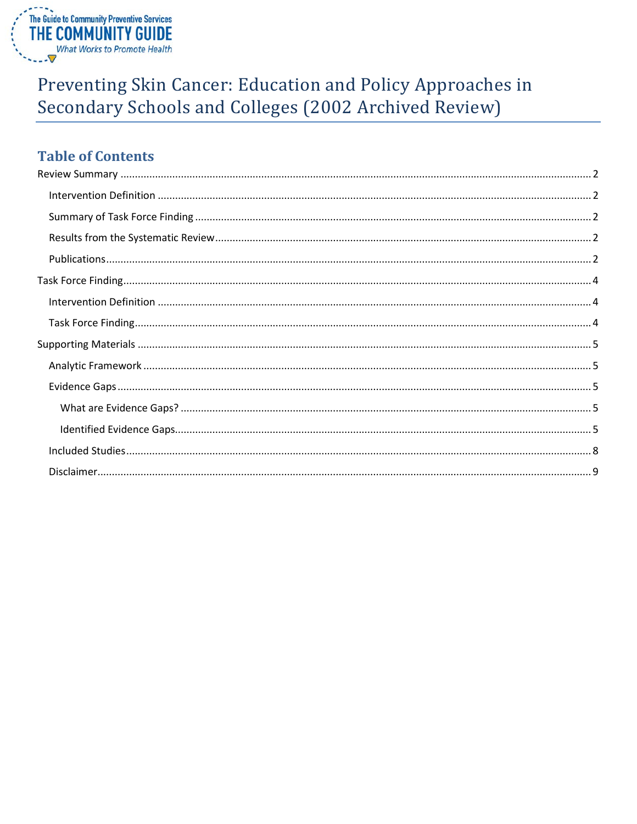

# Preventing Skin Cancer: Education and Policy Approaches in Secondary Schools and Colleges (2002 Archived Review)

## **Table of Contents**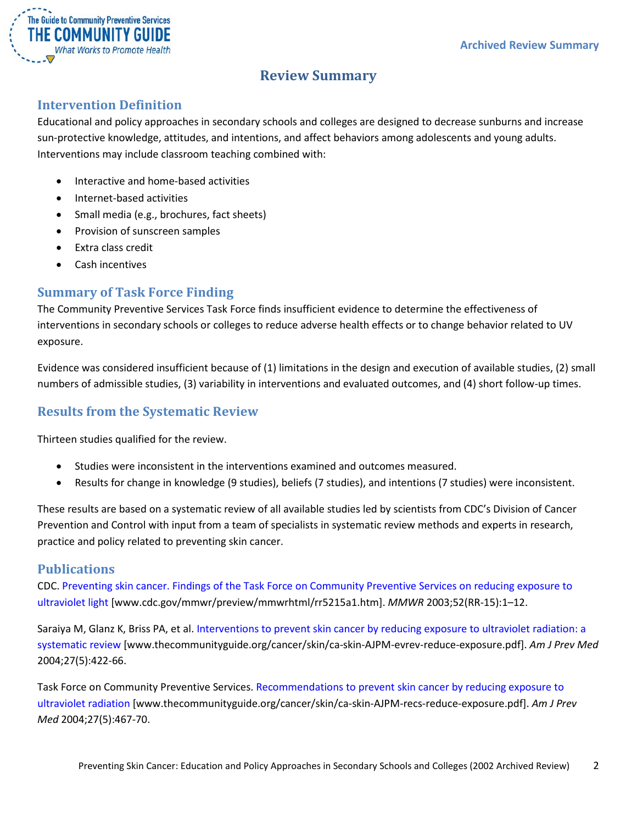

## **Review Summary**

### <span id="page-1-1"></span><span id="page-1-0"></span>**Intervention Definition**

Educational and policy approaches in secondary schools and colleges are designed to decrease sunburns and increase sun-protective knowledge, attitudes, and intentions, and affect behaviors among adolescents and young adults. Interventions may include classroom teaching combined with:

- Interactive and home-based activities
- Internet-based activities
- Small media (e.g., brochures, fact sheets)
- Provision of sunscreen samples
- Extra class credit
- Cash incentives

### <span id="page-1-2"></span>**Summary of Task Force Finding**

The Community Preventive Services Task Force finds insufficient evidence to determine the effectiveness of interventions in secondary schools or colleges to reduce adverse health effects or to change behavior related to UV exposure.

Evidence was considered insufficient because of (1) limitations in the design and execution of available studies, (2) small numbers of admissible studies, (3) variability in interventions and evaluated outcomes, and (4) short follow-up times.

### <span id="page-1-3"></span>**Results from the Systematic Review**

Thirteen studies qualified for the review.

- Studies were inconsistent in the interventions examined and outcomes measured.
- Results for change in knowledge (9 studies), beliefs (7 studies), and intentions (7 studies) were inconsistent.

These results are based on a systematic review of all available studies led by scientists from CDC's Division of Cancer Prevention and Control with input from a team of specialists in systematic review methods and experts in research, practice and policy related to preventing skin cancer.

#### <span id="page-1-4"></span>**Publications**

CDC. [Preventing skin cancer. Findings of the Task Force on Community Preventive Services on reducing exposure to](http://www.cdc.gov/mmwr/preview/mmwrhtml/rr5215a1.htm)  [ultraviolet light](http://www.cdc.gov/mmwr/preview/mmwrhtml/rr5215a1.htm) [www.cdc.gov/mmwr/preview/mmwrhtml/rr5215a1.htm]. *MMWR* 2003;52(RR-15):1–12.

Saraiya M, Glanz K, Briss PA, et al. [Interventions to prevent skin cancer by reducing exposure to ultraviolet](http://www.thecommunityguide.org/cancer/skin/ca-skin-AJPM-evrev-reduce-exposure.pdf) radiation: a [systematic review](http://www.thecommunityguide.org/cancer/skin/ca-skin-AJPM-evrev-reduce-exposure.pdf) [www.thecommunityguide.org/cancer/skin/ca-skin-AJPM-evrev-reduce-exposure.pdf]. *Am J Prev Med* 2004;27(5):422-66.

Task Force on Community Preventive Services. [Recommendations to prevent skin cancer by reducing exposure to](http://www.thecommunityguide.org/cancer/skin/ca-skin-AJPM-recs-reduce-exposure.pdf)  [ultraviolet radiation](http://www.thecommunityguide.org/cancer/skin/ca-skin-AJPM-recs-reduce-exposure.pdf) [www.thecommunityguide.org/cancer/skin/ca-skin-AJPM-recs-reduce-exposure.pdf]. *Am J Prev Med* 2004;27(5):467-70.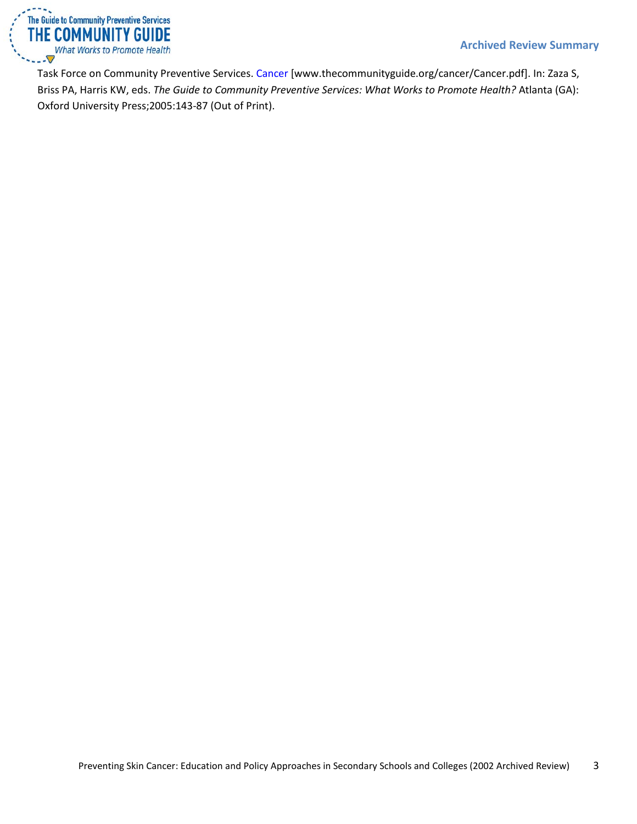#### **Archived Review Summary**



Task Force on Community Preventive Services. [Cancer](http://www.thecommunityguide.org/cancer/Cancer.pdf) [www.thecommunityguide.org/cancer/Cancer.pdf]. In: Zaza S, Briss PA, Harris KW, eds. *The Guide to Community Preventive Services: What Works to Promote Health?* Atlanta (GA): Oxford University Press;2005:143-87 (Out of Print).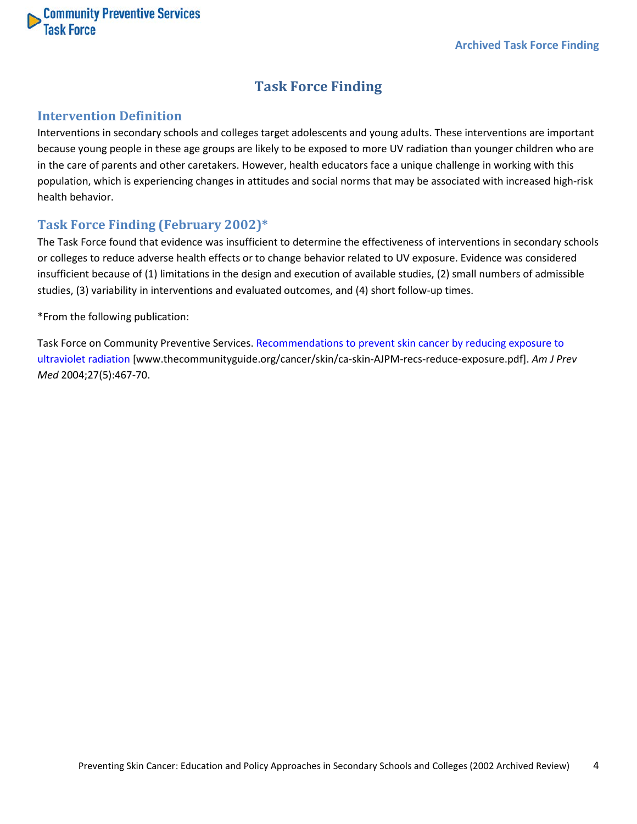<span id="page-3-0"></span>

### **Task Force Finding**

### <span id="page-3-1"></span>**Intervention Definition**

Interventions in secondary schools and colleges target adolescents and young adults. These interventions are important because young people in these age groups are likely to be exposed to more UV radiation than younger children who are in the care of parents and other caretakers. However, health educators face a unique challenge in working with this population, which is experiencing changes in attitudes and social norms that may be associated with increased high-risk health behavior.

### <span id="page-3-2"></span>**Task Force Finding (February 2002)\***

The Task Force found that evidence was insufficient to determine the effectiveness of interventions in secondary schools or colleges to reduce adverse health effects or to change behavior related to UV exposure. Evidence was considered insufficient because of (1) limitations in the design and execution of available studies, (2) small numbers of admissible studies, (3) variability in interventions and evaluated outcomes, and (4) short follow-up times.

\*From the following publication:

Task Force on Community Preventive Services. [Recommendations to prevent skin cancer by reducing exposure to](http://www.thecommunityguide.org/cancer/skin/ca-skin-AJPM-recs-reduce-exposure.pdf)  [ultraviolet radiation](http://www.thecommunityguide.org/cancer/skin/ca-skin-AJPM-recs-reduce-exposure.pdf) [www.thecommunityguide.org/cancer/skin/ca-skin-AJPM-recs-reduce-exposure.pdf]. *Am J Prev Med* 2004;27(5):467-70.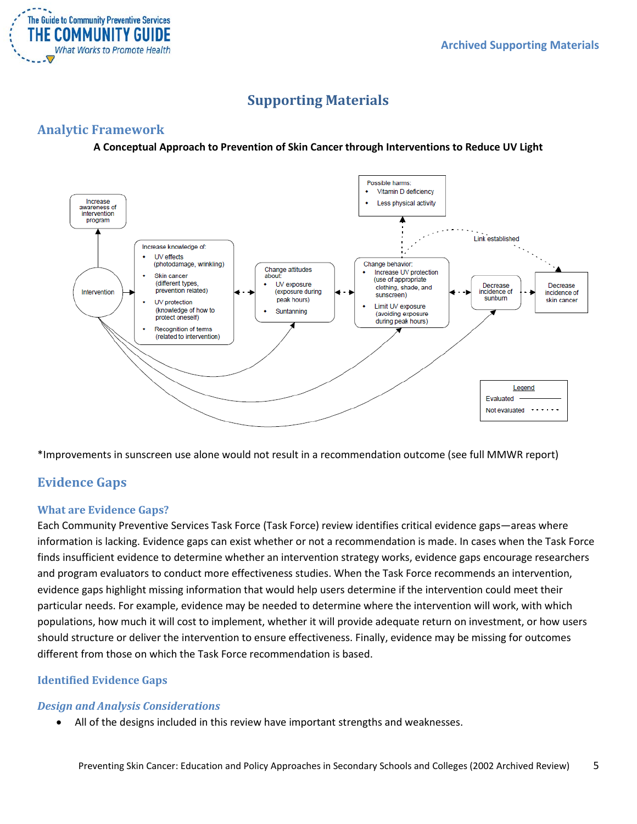

## **Supporting Materials**

### <span id="page-4-1"></span><span id="page-4-0"></span>**Analytic Framework**

### **A Conceptual Approach to Prevention of Skin Cancer through Interventions to Reduce UV Light**



\*Improvements in sunscreen use alone would not result in a recommendation outcome (see full MMWR report)

### <span id="page-4-2"></span>**Evidence Gaps**

#### <span id="page-4-3"></span>**What are Evidence Gaps?**

Each Community Preventive Services Task Force (Task Force) review identifies critical evidence gaps—areas where information is lacking. Evidence gaps can exist whether or not a recommendation is made. In cases when the Task Force finds insufficient evidence to determine whether an intervention strategy works, evidence gaps encourage researchers and program evaluators to conduct more effectiveness studies. When the Task Force recommends an intervention, evidence gaps highlight missing information that would help users determine if the intervention could meet their particular needs. For example, evidence may be needed to determine where the intervention will work, with which populations, how much it will cost to implement, whether it will provide adequate return on investment, or how users should structure or deliver the intervention to ensure effectiveness. Finally, evidence may be missing for outcomes different from those on which the Task Force recommendation is based.

### <span id="page-4-4"></span>**Identified Evidence Gaps**

#### *Design and Analysis Considerations*

• All of the designs included in this review have important strengths and weaknesses.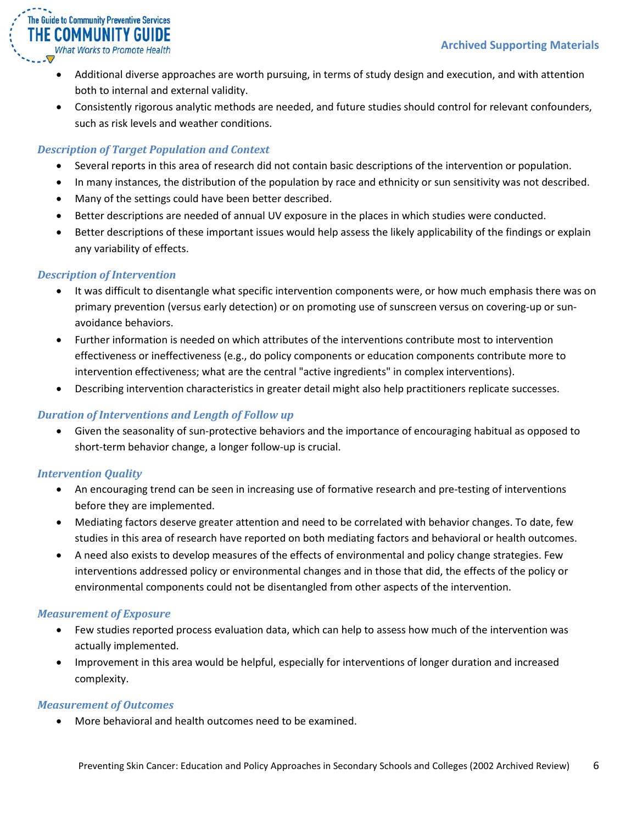

- Additional diverse approaches are worth pursuing, in terms of study design and execution, and with attention both to internal and external validity.
- Consistently rigorous analytic methods are needed, and future studies should control for relevant confounders, such as risk levels and weather conditions.

### *Description of Target Population and Context*

- Several reports in this area of research did not contain basic descriptions of the intervention or population.
- In many instances, the distribution of the population by race and ethnicity or sun sensitivity was not described.
- Many of the settings could have been better described.
- Better descriptions are needed of annual UV exposure in the places in which studies were conducted.
- Better descriptions of these important issues would help assess the likely applicability of the findings or explain any variability of effects.

### *Description of Intervention*

- It was difficult to disentangle what specific intervention components were, or how much emphasis there was on primary prevention (versus early detection) or on promoting use of sunscreen versus on covering-up or sunavoidance behaviors.
- Further information is needed on which attributes of the interventions contribute most to intervention effectiveness or ineffectiveness (e.g., do policy components or education components contribute more to intervention effectiveness; what are the central "active ingredients" in complex interventions).
- Describing intervention characteristics in greater detail might also help practitioners replicate successes.

### *Duration of Interventions and Length of Follow up*

• Given the seasonality of sun-protective behaviors and the importance of encouraging habitual as opposed to short-term behavior change, a longer follow-up is crucial.

### *Intervention Quality*

- An encouraging trend can be seen in increasing use of formative research and pre-testing of interventions before they are implemented.
- Mediating factors deserve greater attention and need to be correlated with behavior changes. To date, few studies in this area of research have reported on both mediating factors and behavioral or health outcomes.
- A need also exists to develop measures of the effects of environmental and policy change strategies. Few interventions addressed policy or environmental changes and in those that did, the effects of the policy or environmental components could not be disentangled from other aspects of the intervention.

### *Measurement of Exposure*

- Few studies reported process evaluation data, which can help to assess how much of the intervention was actually implemented.
- Improvement in this area would be helpful, especially for interventions of longer duration and increased complexity.

#### *Measurement of Outcomes*

• More behavioral and health outcomes need to be examined.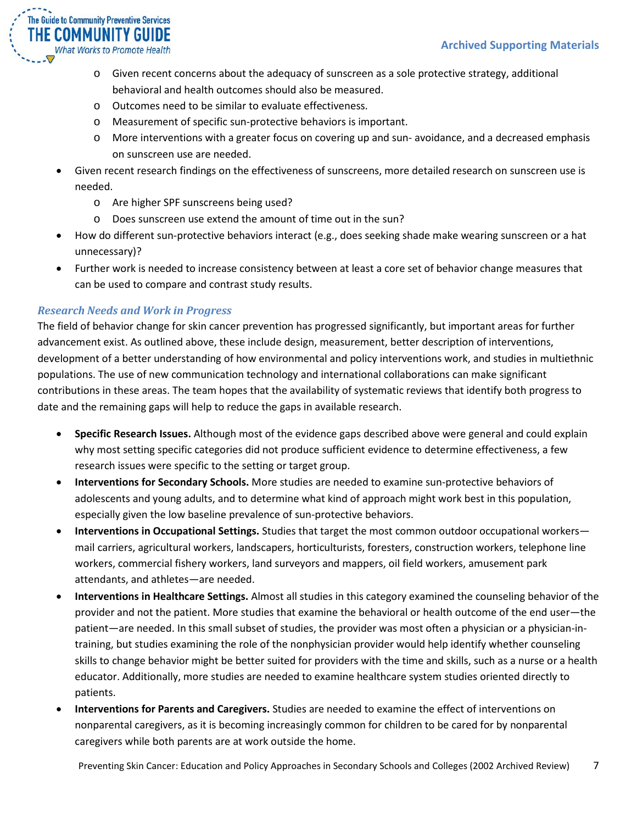

- o Given recent concerns about the adequacy of sunscreen as a sole protective strategy, additional behavioral and health outcomes should also be measured.
- o Outcomes need to be similar to evaluate effectiveness.
- o Measurement of specific sun-protective behaviors is important.
- o More interventions with a greater focus on covering up and sun- avoidance, and a decreased emphasis on sunscreen use are needed.
- Given recent research findings on the effectiveness of sunscreens, more detailed research on sunscreen use is needed.
	- o Are higher SPF sunscreens being used?
	- o Does sunscreen use extend the amount of time out in the sun?
- How do different sun-protective behaviors interact (e.g., does seeking shade make wearing sunscreen or a hat unnecessary)?
- Further work is needed to increase consistency between at least a core set of behavior change measures that can be used to compare and contrast study results.

### *Research Needs and Work in Progress*

The field of behavior change for skin cancer prevention has progressed significantly, but important areas for further advancement exist. As outlined above, these include design, measurement, better description of interventions, development of a better understanding of how environmental and policy interventions work, and studies in multiethnic populations. The use of new communication technology and international collaborations can make significant contributions in these areas. The team hopes that the availability of systematic reviews that identify both progress to date and the remaining gaps will help to reduce the gaps in available research.

- **Specific Research Issues.** Although most of the evidence gaps described above were general and could explain why most setting specific categories did not produce sufficient evidence to determine effectiveness, a few research issues were specific to the setting or target group.
- **Interventions for Secondary Schools.** More studies are needed to examine sun-protective behaviors of adolescents and young adults, and to determine what kind of approach might work best in this population, especially given the low baseline prevalence of sun-protective behaviors.
- **Interventions in Occupational Settings.** Studies that target the most common outdoor occupational workers mail carriers, agricultural workers, landscapers, horticulturists, foresters, construction workers, telephone line workers, commercial fishery workers, land surveyors and mappers, oil field workers, amusement park attendants, and athletes—are needed.
- **Interventions in Healthcare Settings.** Almost all studies in this category examined the counseling behavior of the provider and not the patient. More studies that examine the behavioral or health outcome of the end user—the patient—are needed. In this small subset of studies, the provider was most often a physician or a physician-intraining, but studies examining the role of the nonphysician provider would help identify whether counseling skills to change behavior might be better suited for providers with the time and skills, such as a nurse or a health educator. Additionally, more studies are needed to examine healthcare system studies oriented directly to patients.
- **Interventions for Parents and Caregivers.** Studies are needed to examine the effect of interventions on nonparental caregivers, as it is becoming increasingly common for children to be cared for by nonparental caregivers while both parents are at work outside the home.

Preventing Skin Cancer: Education and Policy Approaches in Secondary Schools and Colleges (2002 Archived Review) 7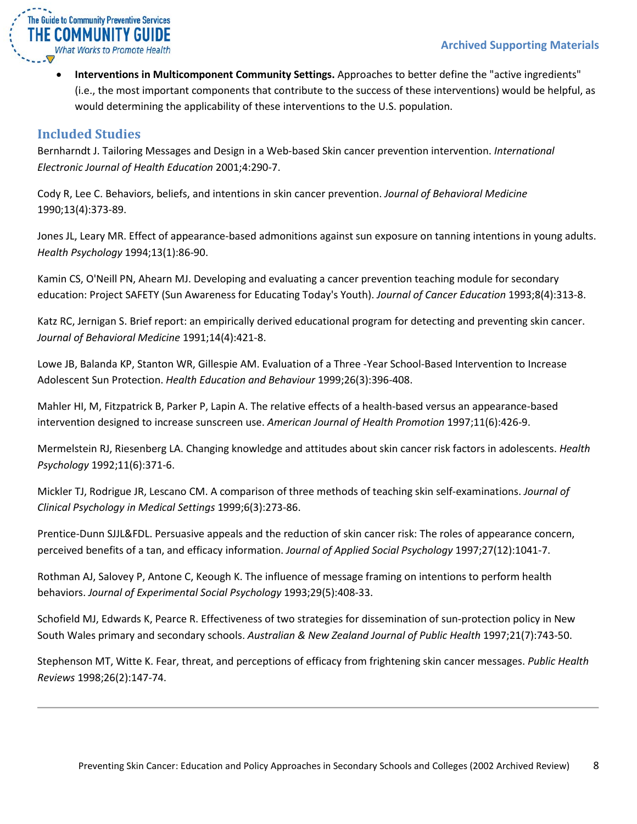

• **Interventions in Multicomponent Community Settings.** Approaches to better define the "active ingredients" (i.e., the most important components that contribute to the success of these interventions) would be helpful, as would determining the applicability of these interventions to the U.S. population.

### <span id="page-7-0"></span>**Included Studies**

Bernharndt J. Tailoring Messages and Design in a Web-based Skin cancer prevention intervention. *International Electronic Journal of Health Education* 2001;4:290-7.

Cody R, Lee C. Behaviors, beliefs, and intentions in skin cancer prevention. *Journal of Behavioral Medicine* 1990;13(4):373-89.

Jones JL, Leary MR. Effect of appearance-based admonitions against sun exposure on tanning intentions in young adults. *Health Psychology* 1994;13(1):86-90.

Kamin CS, O'Neill PN, Ahearn MJ. Developing and evaluating a cancer prevention teaching module for secondary education: Project SAFETY (Sun Awareness for Educating Today's Youth). *Journal of Cancer Education* 1993;8(4):313-8.

Katz RC, Jernigan S. Brief report: an empirically derived educational program for detecting and preventing skin cancer. *Journal of Behavioral Medicine* 1991;14(4):421-8.

Lowe JB, Balanda KP, Stanton WR, Gillespie AM. Evaluation of a Three -Year School-Based Intervention to Increase Adolescent Sun Protection. *Health Education and Behaviour* 1999;26(3):396-408.

Mahler HI, M, Fitzpatrick B, Parker P, Lapin A. The relative effects of a health-based versus an appearance-based intervention designed to increase sunscreen use. *American Journal of Health Promotion* 1997;11(6):426-9.

Mermelstein RJ, Riesenberg LA. Changing knowledge and attitudes about skin cancer risk factors in adolescents. *Health Psychology* 1992;11(6):371-6.

Mickler TJ, Rodrigue JR, Lescano CM. A comparison of three methods of teaching skin self-examinations. *Journal of Clinical Psychology in Medical Settings* 1999;6(3):273-86.

Prentice-Dunn SJJL&FDL. Persuasive appeals and the reduction of skin cancer risk: The roles of appearance concern, perceived benefits of a tan, and efficacy information. *Journal of Applied Social Psychology* 1997;27(12):1041-7.

Rothman AJ, Salovey P, Antone C, Keough K. The influence of message framing on intentions to perform health behaviors. *Journal of Experimental Social Psychology* 1993;29(5):408-33.

Schofield MJ, Edwards K, Pearce R. Effectiveness of two strategies for dissemination of sun-protection policy in New South Wales primary and secondary schools. *Australian & New Zealand Journal of Public Health* 1997;21(7):743-50.

Stephenson MT, Witte K. Fear, threat, and perceptions of efficacy from frightening skin cancer messages. *Public Health Reviews* 1998;26(2):147-74.